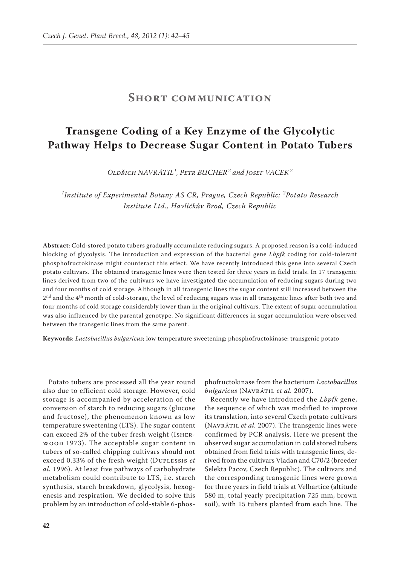## **Short communication**

## **Transgene Coding of a Key Enzyme of the Glycolytic Pathway Helps to Decrease Sugar Content in Potato Tubers**

*Oldřich NAVRÁTIL<sup>1</sup> , Petr BUCHER<sup>2</sup> and Josef VACEK<sup>2</sup>*

<sup>1</sup>Institute of Experimental Botany AS CR, Prague, Czech Republic; <sup>2</sup>Potato Research *Institute Ltd., Havlíčkův Brod, Czech Republic*

**Abstract**: Cold-stored potato tubers gradually accumulate reducing sugars. A proposed reason is a cold-induced blocking of glycolysis. The introduction and expression of the bacterial gene *Lbpfk* coding for cold-tolerant phosphofructokinase might counteract this effect. We have recently introduced this gene into several Czech potato cultivars. The obtained transgenic lines were then tested for three years in field trials. In 17 transgenic lines derived from two of the cultivars we have investigated the accumulation of reducing sugars during two and four months of cold storage. Although in all transgenic lines the sugar content still increased between the  $2<sup>nd</sup>$  and the 4<sup>th</sup> month of cold-storage, the level of reducing sugars was in all transgenic lines after both two and four months of cold storage considerably lower than in the original cultivars. The extent of sugar accumulation was also influenced by the parental genotype. No significant differences in sugar accumulation were observed between the transgenic lines from the same parent.

**Keywords**: *Lactobacillus bulgaricus*; low temperature sweetening; phosphofructokinase; transgenic potato

Potato tubers are processed all the year round also due to efficient cold storage. However, cold storage is accompanied by acceleration of the conversion of starch to reducing sugars (glucose and fructose), the phenomenon known as low temperature sweetening (LTS). The sugar content can exceed 2% of the tuber fresh weight (Isherwood 1973). The acceptable sugar content in tubers of so-called chipping cultivars should not exceed 0.33% of the fresh weight (Duplessis *et al.* 1996). At least five pathways of carbohydrate metabolism could contribute to LTS, i.e. starch synthesis, starch breakdown, glycolysis, hexogenesis and respiration. We decided to solve this problem by an introduction of cold-stable 6-phos-

phofructokinase from the bacterium *Lactobacillus bulgaricus* (Navrátil *et al.* 2007).

Recently we have introduced the *Lbpfk* gene, the sequence of which was modified to improve its translation, into several Czech potato cultivars (Navrátil *et al.* 2007). The transgenic lines were confirmed by PCR analysis. Here we present the observed sugar accumulation in cold stored tubers obtained from field trials with transgenic lines, derived from the cultivars Vladan and C70/2 (breeder Selekta Pacov, Czech Republic). The cultivars and the corresponding transgenic lines were grown for three years in field trials at Velhartice (altitude 580 m, total yearly precipitation 725 mm, brown soil), with 15 tubers planted from each line. The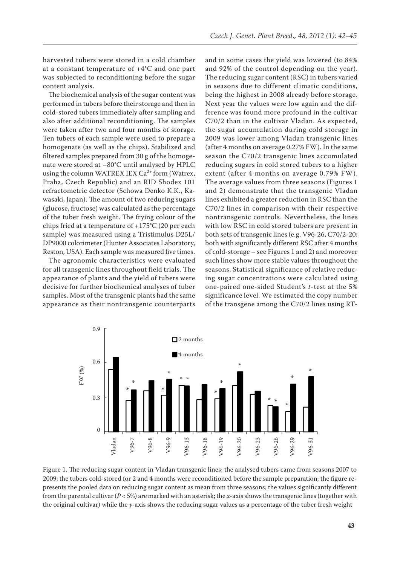harvested tubers were stored in a cold chamber at a constant temperature of +4°C and one part was subjected to reconditioning before the sugar content analysis.

The biochemical analysis of the sugar content was performed in tubers before their storage and then in cold-stored tubers immediately after sampling and also after additional reconditioning. The samples were taken after two and four months of storage. Ten tubers of each sample were used to prepare a homogenate (as well as the chips). Stabilized and filtered samples prepared from 30 g of the homogenate were stored at –80°C until analysed by HPLC using the column WATREX IEX  $Ca^{2+}$  form (Watrex, Praha, Czech Republic) and an RID Shodex 101 refractometric detector (Schowa Denko K.K., Kawasaki, Japan). The amount of two reducing sugars (glucose, fructose) was calculated as the percentage of the tuber fresh weight. The frying colour of the chips fried at a temperature of +175°C (20 per each sample) was measured using a Tristimulus D25L/ DP9000 colorimeter (Hunter Associates Laboratory, Reston, USA). Each sample was measured five times.

The agronomic characteristics were evaluated for all transgenic lines throughout field trials. The appearance of plants and the yield of tubers were decisive for further biochemical analyses of tuber samples. Most of the transgenic plants had the same appearance as their nontransgenic counterparts and in some cases the yield was lowered (to 84% and 92% of the control depending on the year). The reducing sugar content (RSC) in tubers varied in seasons due to different climatic conditions, being the highest in 2008 already before storage. Next year the values were low again and the difference was found more profound in the cultivar C70/2 than in the cultivar Vladan. As expected, the sugar accumulation during cold storage in 2009 was lower among Vladan transgenic lines (after 4 months on average 0.27% FW). In the same season the C70/2 transgenic lines accumulated reducing sugars in cold stored tubers to a higher extent (after 4 months on average 0.79% FW). The average values from three seasons (Figures 1 and 2) demonstrate that the transgenic Vladan lines exhibited a greater reduction in RSC than the C70/2 lines in comparison with their respective nontransgenic controls. Nevertheless, the lines with low RSC in cold stored tubers are present in both sets of transgenic lines (e.g. V96-26, C70/2-20; both with significantly different RSC after 4 months of cold-storage – see Figures 1 and 2) and moreover such lines show more stable values throughout the seasons. Statistical significance of relative reducing sugar concentrations were calculated using one-paired one-sided Student's *t*-test at the 5% significance level. We estimated the copy number of the transgene among the C70/2 lines using RT-



Figure 1. The reducing sugar content in Vladan transgenic lines; the analysed tubers came from seasons 2007 to 2009; the tubers cold-stored for 2 and 4 months were reconditioned before the sample preparation; the figure represents the pooled data on reducing sugar content as mean from three seasons; the values significantly different from the parental cultivar (*P* < 5%) are marked with an asterisk; the *x*-axis shows the transgenic lines (together with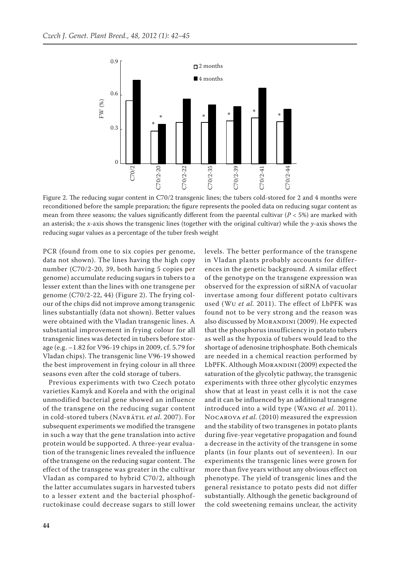

Figure 2. The reducing sugar content in C70/2 transgenic lines; the tubers cold-stored for 2 and 4 months were reconditioned before the sample preparation; the figure represents the pooled data on reducing sugar content as mean from three seasons; the values significantly different from the parental cultivar ( $P < 5\%$ ) are marked with an asterisk; the *x*-axis shows the transgenic lines (together with the original cultivar) while the *y*-axis shows the reducing sugar values as a percentage of the tuber fresh weight

PCR (found from one to six copies per genome, data not shown). The lines having the high copy number (C70/2-20, 39, both having 5 copies per genome) accumulate reducing sugars in tubers to a lesser extent than the lines with one transgene per genome (C70/2-22, 44) (Figure 2). The frying colour of the chips did not improve among transgenic lines substantially (data not shown). Better values were obtained with the Vladan transgenic lines. A substantial improvement in frying colour for all transgenic lines was detected in tubers before storage (e.g. –1.82 for V96-19 chips in 2009, cf. 5.79 for Vladan chips). The transgenic line V96-19 showed the best improvement in frying colour in all three seasons even after the cold storage of tubers.

Previous experiments with two Czech potato varieties Kamyk and Korela and with the original unmodified bacterial gene showed an influence of the transgene on the reducing sugar content in cold-stored tubers (Navrátil *et al.* 2007). For subsequent experiments we modified the transgene in such a way that the gene translation into active protein would be supported. A three-year evaluation of the transgenic lines revealed the influence of the transgene on the reducing sugar content. The effect of the transgene was greater in the cultivar Vladan as compared to hybrid C70/2, although the latter accumulates sugars in harvested tubers to a lesser extent and the bacterial phosphofructokinase could decrease sugars to still lower levels. The better performance of the transgene in Vladan plants probably accounts for differences in the genetic background. A similar effect of the genotype on the transgene expression was observed for the expression of siRNA of vacuolar invertase among four different potato cultivars used (Wu *et al.* 2011). The effect of LbPFK was found not to be very strong and the reason was also discussed by MORANDINI (2009). He expected that the phosphorus insufficiency in potato tubers as well as the hypoxia of tubers would lead to the shortage of adenosine triphosphate. Both chemicals are needed in a chemical reaction performed by LbPFK. Although MORANDINI (2009) expected the saturation of the glycolytic pathway, the transgenic experiments with three other glycolytic enzymes show that at least in yeast cells it is not the case and it can be influenced by an additional transgene introduced into a wild type (Wang *et al.* 2011). Nocarova *et al.* (2010) measured the expression and the stability of two transgenes in potato plants during five-year vegetative propagation and found a decrease in the activity of the transgene in some plants (in four plants out of seventeen). In our experiments the transgenic lines were grown for more than five years without any obvious effect on phenotype. The yield of transgenic lines and the general resistance to potato pests did not differ substantially. Although the genetic background of the cold sweetening remains unclear, the activity